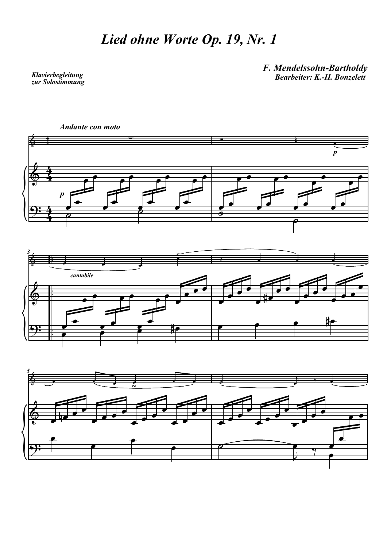Klavierbegleitung<br>zur Solostimmung

F. Mendelssohn-Bartholdy Klavierbegleitung<br>Externe Schooling Klavier K.-H. Bonzelett

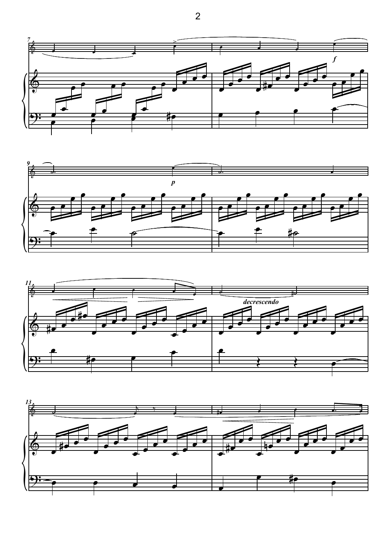





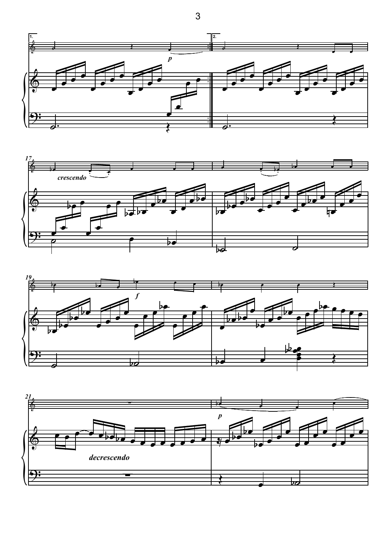





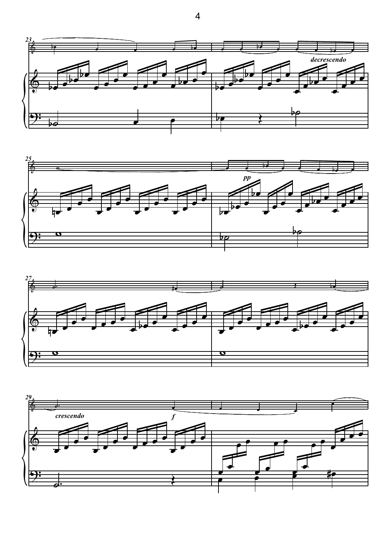





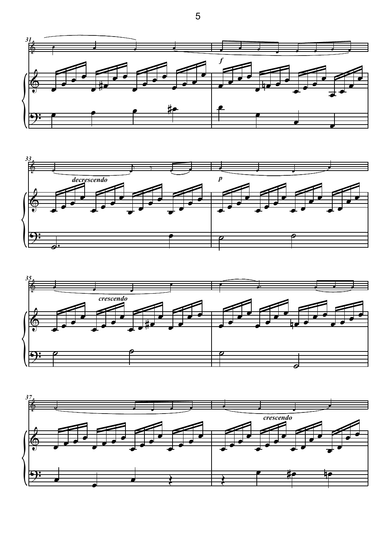





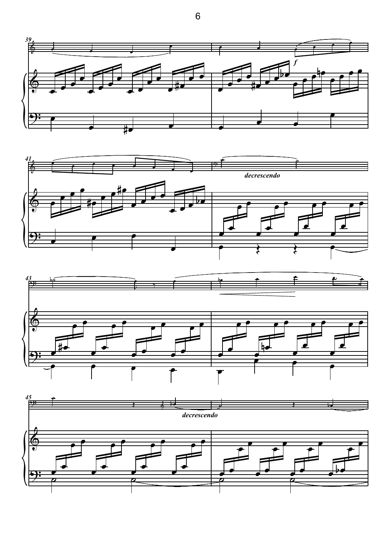